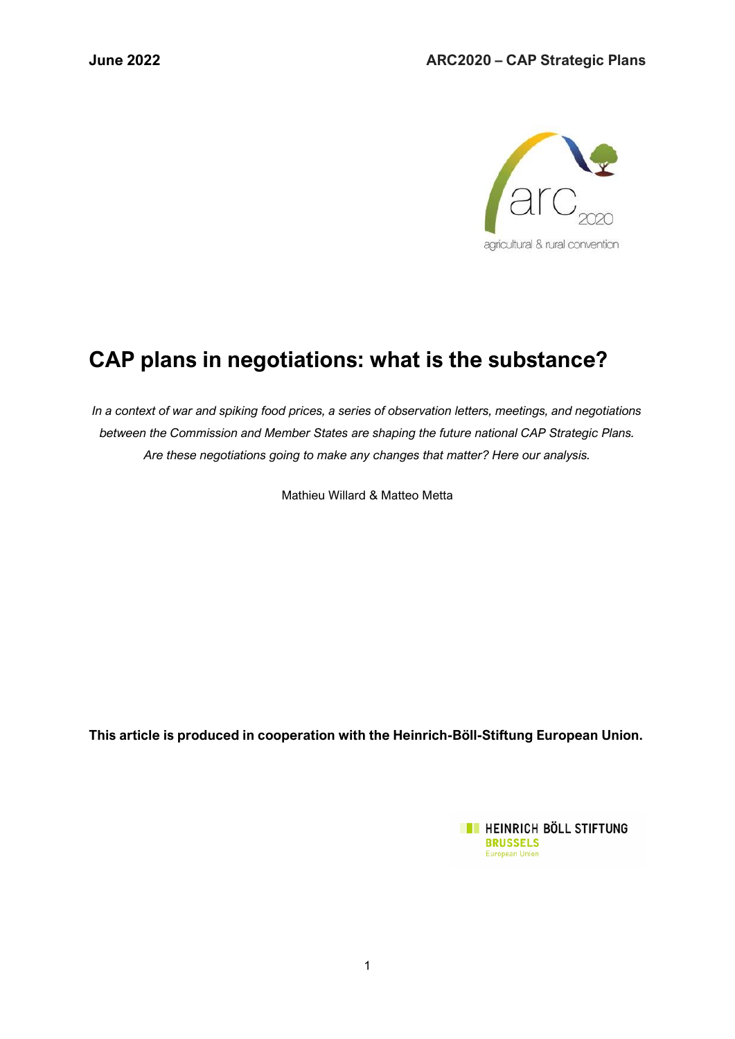

# **CAP plans in negotiations: what is the substance?**

*In a context of war and spiking food prices, a series of observation letters, meetings, and negotiations between the Commission and Member States are shaping the future national CAP Strategic Plans. Are these negotiations going to make any changes that matter? Here our analysis.* 

Mathieu Willard & Matteo Metta

**This article is produced in cooperation with the Heinrich-Böll-Stiftung European Union.**

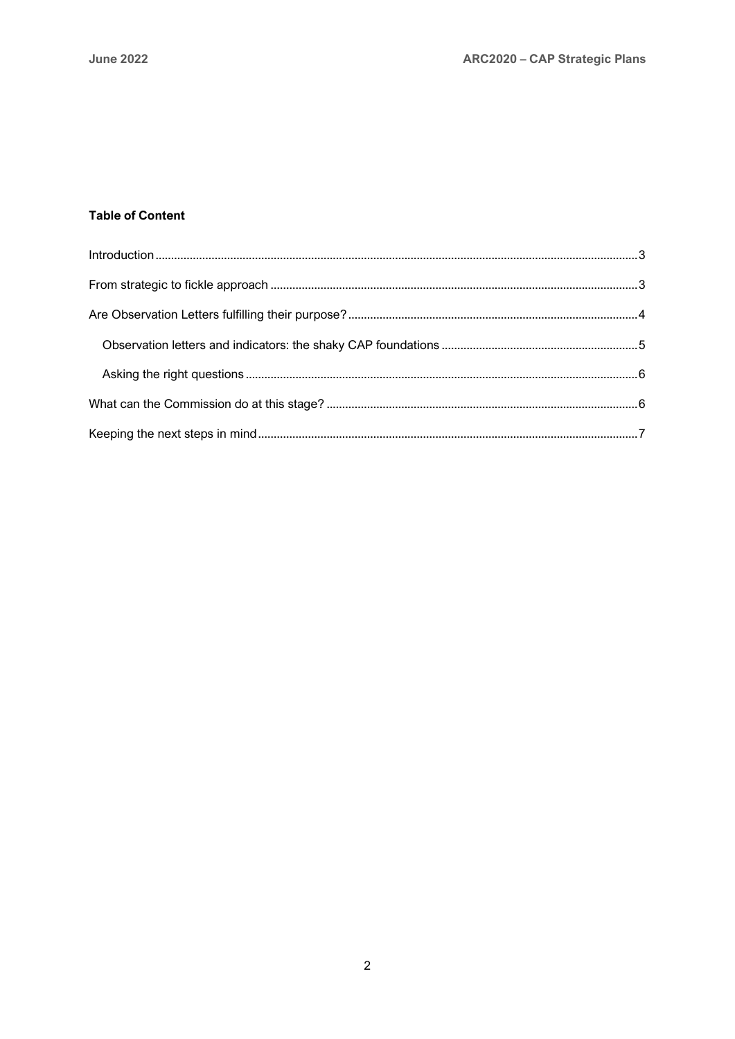#### **Table of Content**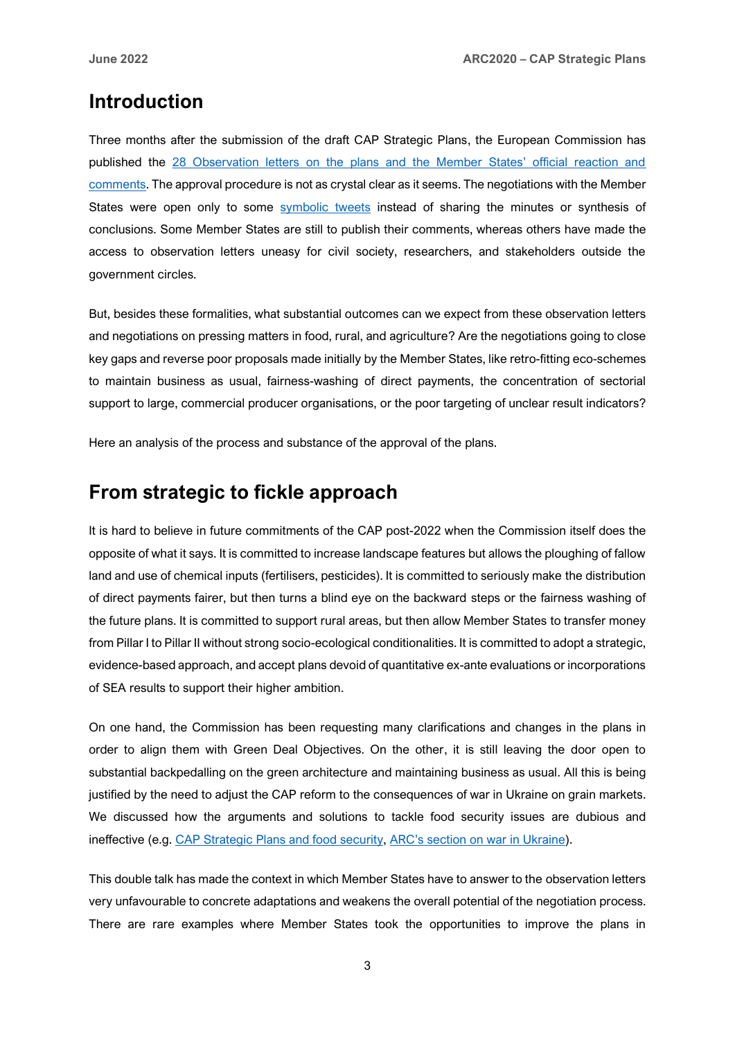### <span id="page-2-0"></span>**Introduction**

Three months after the submission of the draft CAP Strategic Plans, the European Commission has published the [28 Observation letters on the plans and the Member States' official reaction and](https://ec.europa.eu/info/food-farming-fisheries/key-policies/common-agricultural-policy/cap-strategic-plans/obervation-letters_en)  [comments.](https://ec.europa.eu/info/food-farming-fisheries/key-policies/common-agricultural-policy/cap-strategic-plans/obervation-letters_en) The approval procedure is not as crystal clear as it seems. The negotiations with the Member States were open only to some [symbolic tweets](https://twitter.com/jwojc/status/1529039290356879363) instead of sharing the minutes or synthesis of conclusions. Some Member States are still to publish their comments, whereas others have made the access to observation letters uneasy for civil society, researchers, and stakeholders outside the government circles.

But, besides these formalities, what substantial outcomes can we expect from these observation letters and negotiations on pressing matters in food, rural, and agriculture? Are the negotiations going to close key gaps and reverse poor proposals made initially by the Member States, like retro-fitting eco-schemes to maintain business as usual, fairness-washing of direct payments, the concentration of sectorial support to large, commercial producer organisations, or the poor targeting of unclear result indicators?

Here an analysis of the process and substance of the approval of the plans.

## <span id="page-2-1"></span>**From strategic to fickle approach**

It is hard to believe in future commitments of the CAP post-2022 when the Commission itself does the opposite of what it says. It is committed to increase landscape features but allows the ploughing of fallow land and use of chemical inputs (fertilisers, pesticides). It is committed to seriously make the distribution of direct payments fairer, but then turns a blind eye on the backward steps or the fairness washing of the future plans. It is committed to support rural areas, but then allow Member States to transfer money from Pillar I to Pillar II without strong socio-ecological conditionalities. It is committed to adopt a strategic, evidence-based approach, and accept plans devoid of quantitative ex-ante evaluations or incorporations of SEA results to support their higher ambition.

On one hand, the Commission has been requesting many clarifications and changes in the plans in order to align them with Green Deal Objectives. On the other, it is still leaving the door open to substantial backpedalling on the green architecture and maintaining business as usual. All this is being justified by the need to adjust the CAP reform to the consequences of war in Ukraine on grain markets. We discussed how the arguments and solutions to tackle food security issues are dubious and ineffective (e.g. [CAP Strategic Plans and food security,](https://www.arc2020.eu/cap-strategic-plans-and-food-security/) [ARC's section on war in Ukraine](https://www.arc2020.eu/tag/ukraine/)).

This double talk has made the context in which Member States have to answer to the observation letters very unfavourable to concrete adaptations and weakens the overall potential of the negotiation process. There are rare examples where Member States took the opportunities to improve the plans in

3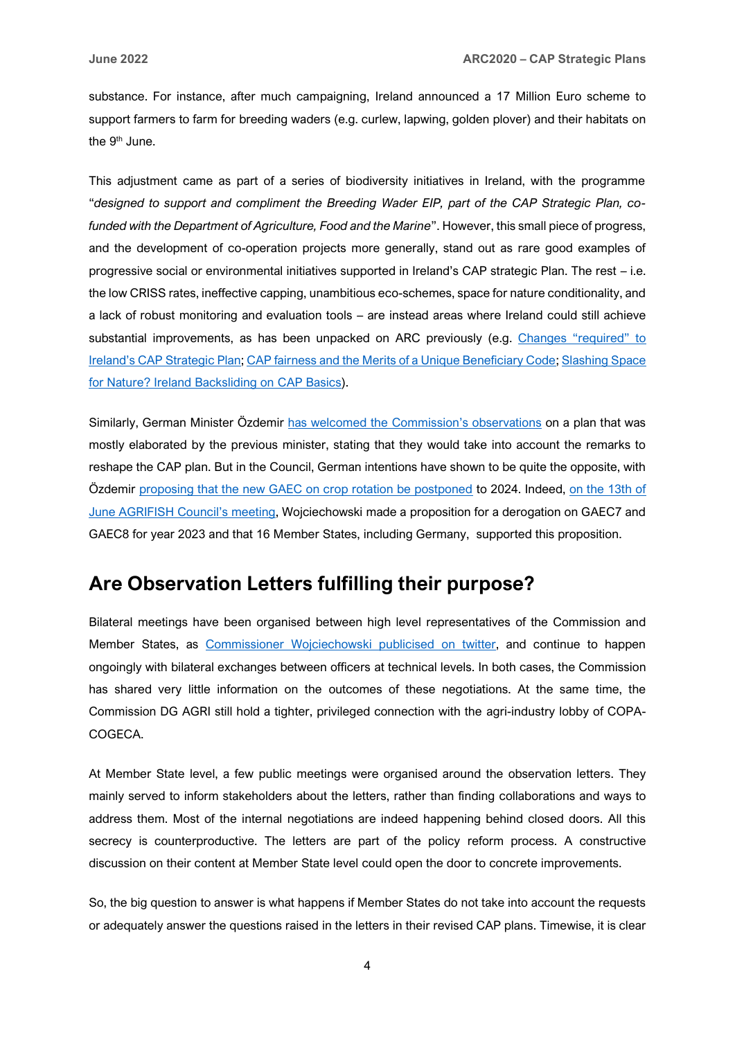substance. For instance, after much campaigning, Ireland announced a 17 Million Euro scheme to support farmers to farm for breeding waders (e.g. curlew, lapwing, golden plover) and their habitats on the 9<sup>th</sup> June.

This adjustment came as part of a series of biodiversity initiatives in Ireland, with the programme "*designed to support and compliment the Breeding Wader EIP, part of the CAP Strategic Plan, cofunded with the Department of Agriculture, Food and the Marine*". However, this small piece of progress, and the development of co-operation projects more generally, stand out as rare good examples of progressive social or environmental initiatives supported in Ireland's CAP strategic Plan. The rest – i.e. the low CRISS rates, ineffective capping, unambitious eco-schemes, space for nature conditionality, and a lack of robust monitoring and evaluation tools – are instead areas where Ireland could still achieve substantial improvements, as has been unpacked on ARC previously (e.g. [Changes "required" to](https://www.arc2020.eu/changes-required-to-irelands-cap-strategic-plan-european-commission/)  [Ireland's CAP Strategic Plan](https://www.arc2020.eu/changes-required-to-irelands-cap-strategic-plan-european-commission/); [CAP fairness and the Merits of a Unique Beneficiary Code;](https://www.arc2020.eu/cap-fairness-and-the-merits-of-a-unique-beneficiary-code-matteo-metta-on-irelands-draft-plan/) [Slashing Space](https://www.arc2020.eu/slashing-space-for-nature-ireland-backsliding-on-cap-basics/)  [for Nature? Ireland Backsliding on](https://www.arc2020.eu/slashing-space-for-nature-ireland-backsliding-on-cap-basics/) CAP Basics).

Similarly, German Minister Özdemir [has welcomed the Commission](https://www.euractiv.com/section/agriculture-food/news/german-agri-minister-pleased-with-commissions-criticism-of-cap-strategic-plan/)'s observations on a plan that was mostly elaborated by the previous minister, stating that they would take into account the remarks to reshape the CAP plan. But in the Council, German intentions have shown to be quite the opposite, with Özdemir [proposing that the new GAEC on crop rotation be postponed](https://www.euractiv.com/section/agriculture-food/news/germany-lobbies-eu-to-suspend-crop-rotation-rules/) to 2024. Indeed, [on the 13th of](https://www.consilium.europa.eu/en/meetings/agrifish/2022/06/13/)  [June AGRIFISH Council](https://www.consilium.europa.eu/en/meetings/agrifish/2022/06/13/)'s meeting, Wojciechowski made a proposition for a derogation on GAEC7 and GAEC8 for year 2023 and that 16 Member States, including Germany, supported this proposition.

### <span id="page-3-0"></span>**Are Observation Letters fulfilling their purpose?**

Bilateral meetings have been organised between high level representatives of the Commission and Member States, as [Commissioner Wojciechowski](https://twitter.com/jwojc/status/1536314145716436992/photo/1) publicised on twitter, and continue to happen ongoingly with bilateral exchanges between officers at technical levels. In both cases, the Commission has shared very little information on the outcomes of these negotiations. At the same time, the Commission DG AGRI still hold a tighter, privileged connection with the agri-industry lobby of COPA-COGECA.

At Member State level, a few public meetings were organised around the observation letters. They mainly served to inform stakeholders about the letters, rather than finding collaborations and ways to address them. Most of the internal negotiations are indeed happening behind closed doors. All this secrecy is counterproductive. The letters are part of the policy reform process. A constructive discussion on their content at Member State level could open the door to concrete improvements.

So, the big question to answer is what happens if Member States do not take into account the requests or adequately answer the questions raised in the letters in their revised CAP plans. Timewise, it is clear

4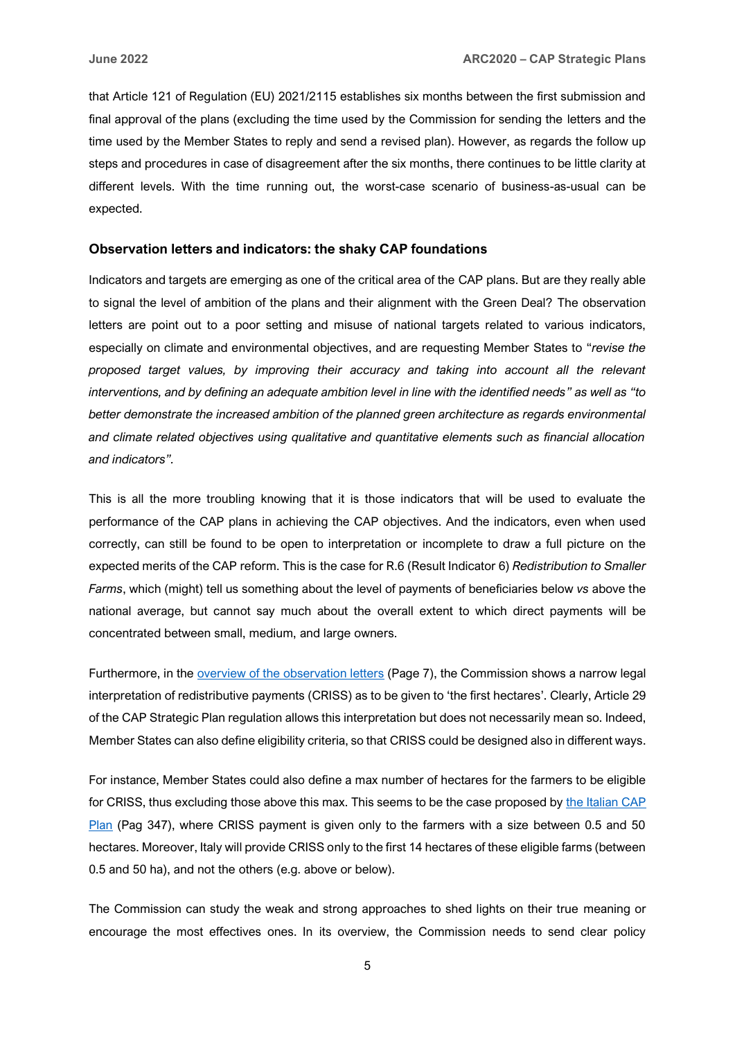that Article 121 of Regulation (EU) 2021/2115 establishes six months between the first submission and final approval of the plans (excluding the time used by the Commission for sending the letters and the time used by the Member States to reply and send a revised plan). However, as regards the follow up steps and procedures in case of disagreement after the six months, there continues to be little clarity at different levels. With the time running out, the worst-case scenario of business-as-usual can be expected.

#### <span id="page-4-0"></span>**Observation letters and indicators: the shaky CAP foundations**

Indicators and targets are emerging as one of the critical area of the CAP plans. But are they really able to signal the level of ambition of the plans and their alignment with the Green Deal? The observation letters are point out to a poor setting and misuse of national targets related to various indicators, especially on climate and environmental objectives, and are requesting Member States to "*revise the proposed target values, by improving their accuracy and taking into account all the relevant interventions, and by defining an adequate ambition level in line with the identified needs" as well as "to better demonstrate the increased ambition of the planned green architecture as regards environmental and climate related objectives using qualitative and quantitative elements such as financial allocation and indicators".*

This is all the more troubling knowing that it is those indicators that will be used to evaluate the performance of the CAP plans in achieving the CAP objectives. And the indicators, even when used correctly, can still be found to be open to interpretation or incomplete to draw a full picture on the expected merits of the CAP reform. This is the case for R.6 (Result Indicator 6) *Redistribution to Smaller Farms*, which (might) tell us something about the level of payments of beneficiaries below *vs* above the national average, but cannot say much about the overall extent to which direct payments will be concentrated between small, medium, and large owners.

Furthermore, in the [overview of the observation letters](https://ec.europa.eu/info/sites/default/files/food-farming-fisheries/key_policies/documents/csp-overview-28-plans-overview-june-2022_en.pdf) (Page 7), the Commission shows a narrow legal interpretation of redistributive payments (CRISS) as to be given to 'the first hectares'. Clearly, Article 29 of the CAP Strategic Plan regulation allows this interpretation but does not necessarily mean so. Indeed, Member States can also define eligibility criteria, so that CRISS could be designed also in different ways.

For instance, Member States could also define a max number of hectares for the farmers to be eligible for CRISS, thus excluding those above this max. This seems to be the case proposed by the Italian CAP [Plan](https://www.reterurale.it/downloads/PSN_PAC_31-12-2021.pdf) (Pag 347), where CRISS payment is given only to the farmers with a size between 0.5 and 50 hectares. Moreover, Italy will provide CRISS only to the first 14 hectares of these eligible farms (between 0.5 and 50 ha), and not the others (e.g. above or below).

The Commission can study the weak and strong approaches to shed lights on their true meaning or encourage the most effectives ones. In its overview, the Commission needs to send clear policy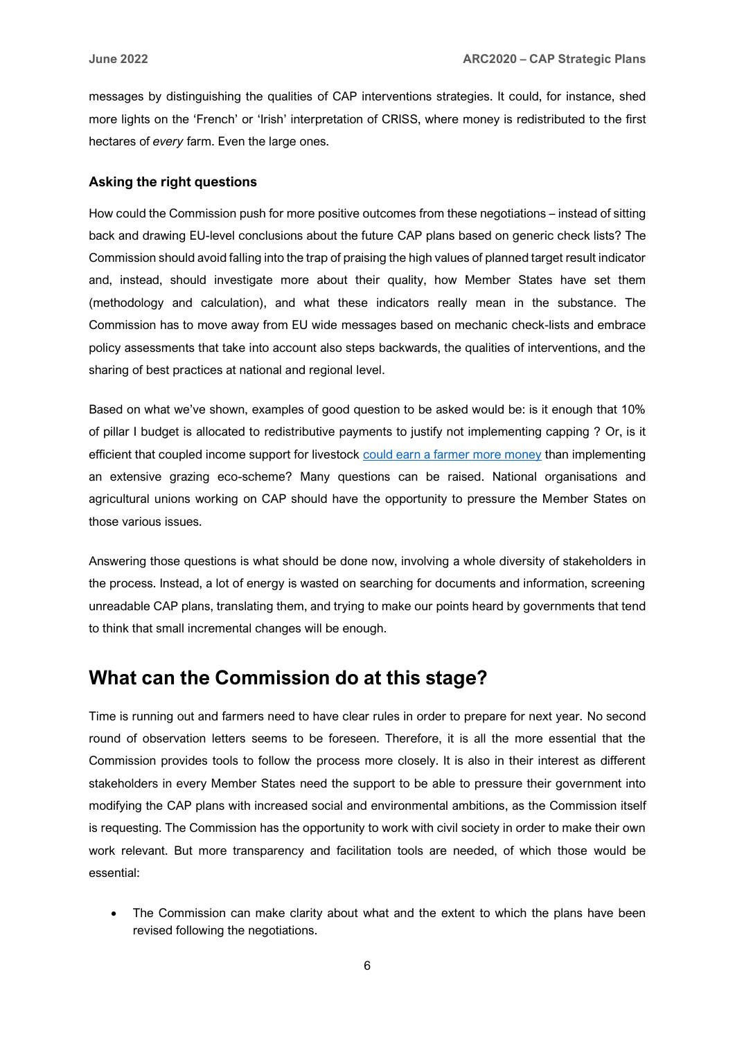messages by distinguishing the qualities of CAP interventions strategies. It could, for instance, shed more lights on the 'French' or 'Irish' interpretation of CRISS, where money is redistributed to the first hectares of *every* farm. Even the large ones.

#### <span id="page-5-0"></span>**Asking the right questions**

How could the Commission push for more positive outcomes from these negotiations – instead of sitting back and drawing EU-level conclusions about the future CAP plans based on generic check lists? The Commission should avoid falling into the trap of praising the high values of planned target result indicator and, instead, should investigate more about their quality, how Member States have set them (methodology and calculation), and what these indicators really mean in the substance. The Commission has to move away from EU wide messages based on mechanic check-lists and embrace policy assessments that take into account also steps backwards, the qualities of interventions, and the sharing of best practices at national and regional level.

Based on what we've shown, examples of good question to be asked would be: is it enough that 10% of pillar I budget is allocated to redistributive payments to justify not implementing capping ? Or, is it efficient that coupled income support for livestock [could earn a farmer more money](https://www.arc2020.eu/wallonias-cap-plan-better-late-than-never/) than implementing an extensive grazing eco-scheme? Many questions can be raised. National organisations and agricultural unions working on CAP should have the opportunity to pressure the Member States on those various issues.

Answering those questions is what should be done now, involving a whole diversity of stakeholders in the process. Instead, a lot of energy is wasted on searching for documents and information, screening unreadable CAP plans, translating them, and trying to make our points heard by governments that tend to think that small incremental changes will be enough.

### <span id="page-5-1"></span>**What can the Commission do at this stage?**

Time is running out and farmers need to have clear rules in order to prepare for next year. No second round of observation letters seems to be foreseen. Therefore, it is all the more essential that the Commission provides tools to follow the process more closely. It is also in their interest as different stakeholders in every Member States need the support to be able to pressure their government into modifying the CAP plans with increased social and environmental ambitions, as the Commission itself is requesting. The Commission has the opportunity to work with civil society in order to make their own work relevant. But more transparency and facilitation tools are needed, of which those would be essential:

• The Commission can make clarity about what and the extent to which the plans have been revised following the negotiations.